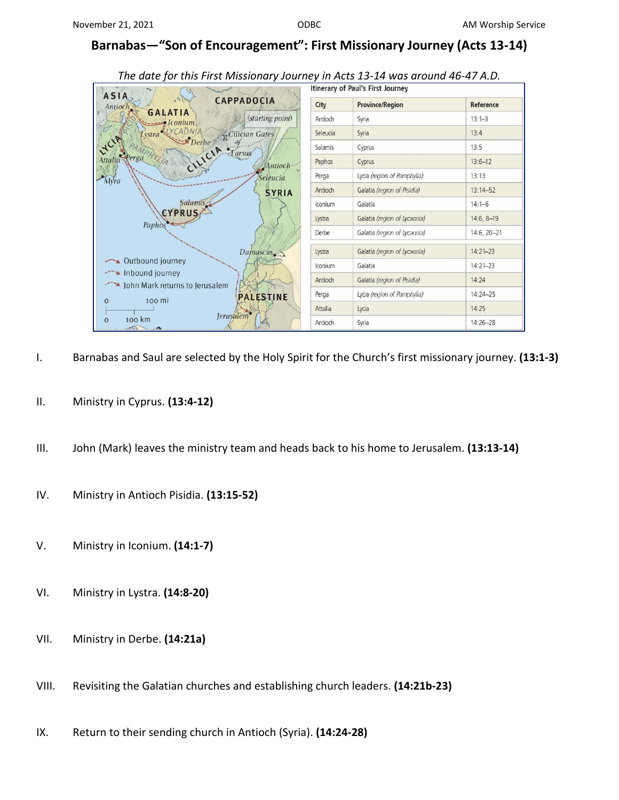## **Barnabas—"Son of Encouragement": First Missionary Journey (Acts 13-14)**

| $m$ and $m$ and $m$ and $m$ and $m$ and $m$ and $m$ and $m$ and $m$ and $m$ and $m$ and $m$                    |                                   |                              |              |
|----------------------------------------------------------------------------------------------------------------|-----------------------------------|------------------------------|--------------|
|                                                                                                                | Itinerary of Paul's First Journey |                              |              |
| <b>ASIA</b><br>$\theta$ .<br><b>CAPPADOCIA</b><br>Antioch.<br>GALATIA<br>(starting point)<br>Iconium           | City                              | <b>Province/Region</b>       | Reference    |
|                                                                                                                | Antioch                           | Syria                        | $13:1 - 3$   |
| <b>JtCilician Gates</b><br><b>ystra</b>                                                                        | Seleucia                          | Syria                        | 13:4         |
| Derbe<br>Tarsus                                                                                                | Salamis                           | Cyprus                       | 13:5         |
| MPHYLIA<br>CILICIA<br>Perga<br>Attalic<br>Antioch-<br>Seleucia<br>Myra<br><b>SYRIA</b><br>Salamis <sub>1</sub> | Paphos                            | Cyprus                       | $13:6 - 12$  |
|                                                                                                                | Perga                             | Lycia (region of Pamphylia)  | 13:13        |
|                                                                                                                | Antioch                           | Galatia (region of Pisidia)  | $13:14 - 52$ |
|                                                                                                                | Iconium                           | Galatia                      | $14:1 - 6$   |
| <b>CYPRUS</b><br>Paphos                                                                                        | Lystra                            | Galatia (region of Lycaonia) | $14:6, 8-19$ |
|                                                                                                                | Derbe                             | Galatia (region of Lycaonia) | 14:6, 20-21  |
| Damascus                                                                                                       | Lystra                            | Galatia (region of Lycaonia) | $14:21 - 23$ |
| Outbound journey                                                                                               | Iconium                           | Galatia                      | $14:21 - 23$ |
| Manufacturey<br>Caral John Mark returns to Jerusalem                                                           | Antioch                           | Galatia (region of Pisidia)  | 14:24        |
| <b>PALESTINE</b><br>100 mi<br>O                                                                                | Perga                             | Lycia (region of Pamphylia)  | $14:24 - 25$ |
|                                                                                                                | Attalia                           | Lycia                        | 14:25        |
| <i><b>Jerusalem</b></i><br>100 km<br>$\mathbf{O}$<br>$\sqrt{2}$                                                | Antioch                           | Syria                        | $14:26 - 28$ |

## *The date for this First Missionary Journey in Acts 13-14 was around 46-47 A.D.*

- I. Barnabas and Saul are selected by the Holy Spirit for the Church's first missionary journey. **(13:1-3)**
- II. Ministry in Cyprus. **(13:4-12)**
- III. John (Mark) leaves the ministry team and heads back to his home to Jerusalem. **(13:13-14)**
- IV. Ministry in Antioch Pisidia. **(13:15-52)**
- V. Ministry in Iconium. **(14:1-7)**
- VI. Ministry in Lystra. **(14:8-20)**
- VII. Ministry in Derbe. **(14:21a)**
- VIII. Revisiting the Galatian churches and establishing church leaders. **(14:21b-23)**
- IX. Return to their sending church in Antioch (Syria). **(14:24-28)**